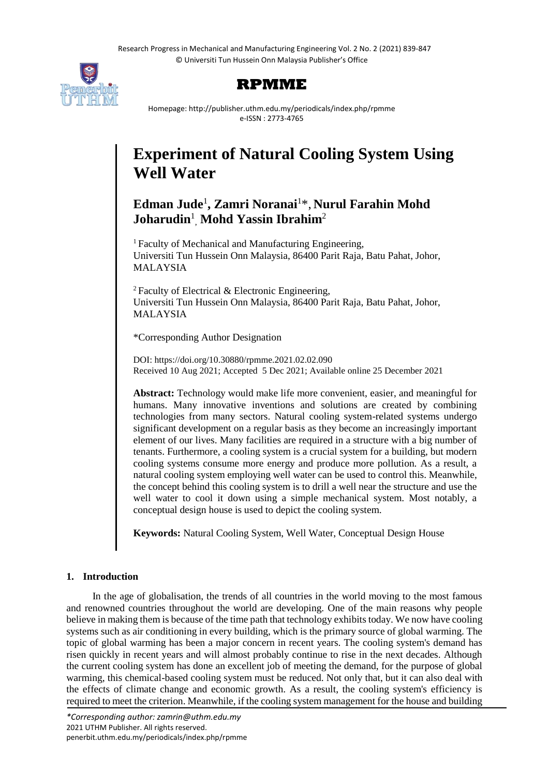Research Progress in Mechanical and Manufacturing Engineering Vol. 2 No. 2 (2021) 839-847 © Universiti Tun Hussein Onn Malaysia Publisher's Office





Homepage: http://publisher.uthm.edu.my/periodicals/index.php/rpmme e-ISSN : 2773-4765

# **Experiment of Natural Cooling System Using Well Water**

# **Edman Jude**<sup>1</sup> **, Zamri Noranai**<sup>1</sup>\*, **Nurul Farahin Mohd Joharudin**<sup>1</sup> , **Mohd Yassin Ibrahim**<sup>2</sup>

<sup>1</sup> Faculty of Mechanical and Manufacturing Engineering, Universiti Tun Hussein Onn Malaysia, 86400 Parit Raja, Batu Pahat, Johor, MALAYSIA

 $2$  Faculty of Electrical & Electronic Engineering, Universiti Tun Hussein Onn Malaysia, 86400 Parit Raja, Batu Pahat, Johor, MALAYSIA

\*Corresponding Author Designation

DOI: https://doi.org/10.30880/rpmme.2021.02.02.090 Received 10 Aug 2021; Accepted 5 Dec 2021; Available online 25 December 2021

**Abstract:** Technology would make life more convenient, easier, and meaningful for humans. Many innovative inventions and solutions are created by combining technologies from many sectors. Natural cooling system-related systems undergo significant development on a regular basis as they become an increasingly important element of our lives. Many facilities are required in a structure with a big number of tenants. Furthermore, a cooling system is a crucial system for a building, but modern cooling systems consume more energy and produce more pollution. As a result, a natural cooling system employing well water can be used to control this. Meanwhile, the concept behind this cooling system is to drill a well near the structure and use the well water to cool it down using a simple mechanical system. Most notably, a conceptual design house is used to depict the cooling system.

**Keywords:** Natural Cooling System, Well Water, Conceptual Design House

# **1. Introduction**

In the age of globalisation, the trends of all countries in the world moving to the most famous and renowned countries throughout the world are developing. One of the main reasons why people believe in making them is because of the time path that technology exhibits today. We now have cooling systems such as air conditioning in every building, which is the primary source of global warming. The topic of global warming has been a major concern in recent years. The cooling system's demand has risen quickly in recent years and will almost probably continue to rise in the next decades. Although the current cooling system has done an excellent job of meeting the demand, for the purpose of global warming, this chemical-based cooling system must be reduced. Not only that, but it can also deal with the effects of climate change and economic growth. As a result, the cooling system's efficiency is required to meet the criterion. Meanwhile, if the cooling system management for the house and building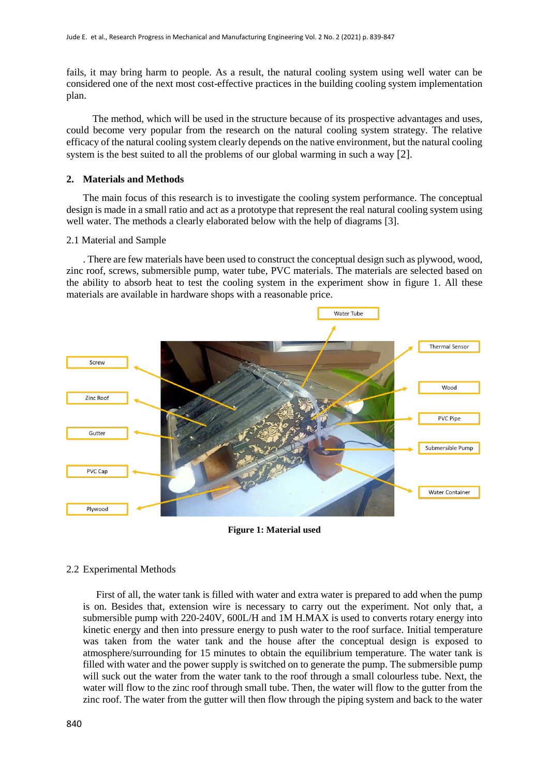fails, it may bring harm to people. As a result, the natural cooling system using well water can be considered one of the next most cost-effective practices in the building cooling system implementation plan.

The method, which will be used in the structure because of its prospective advantages and uses, could become very popular from the research on the natural cooling system strategy. The relative efficacy of the natural cooling system clearly depends on the native environment, but the natural cooling system is the best suited to all the problems of our global warming in such a way [2].

#### **2. Materials and Methods**

The main focus of this research is to investigate the cooling system performance. The conceptual design is made in a small ratio and act as a prototype that represent the real natural cooling system using well water. The methods a clearly elaborated below with the help of diagrams [3].

#### 2.1 Material and Sample

. There are few materials have been used to construct the conceptual design such as plywood, wood, zinc roof, screws, submersible pump, water tube, PVC materials. The materials are selected based on the ability to absorb heat to test the cooling system in the experiment show in figure 1. All these materials are available in hardware shops with a reasonable price.



**Figure 1: Material used**

## 2.2 Experimental Methods

First of all, the water tank is filled with water and extra water is prepared to add when the pump is on. Besides that, extension wire is necessary to carry out the experiment. Not only that, a submersible pump with 220-240V, 600L/H and 1M H.MAX is used to converts rotary energy into kinetic energy and then into pressure energy to push water to the roof surface. Initial temperature was taken from the water tank and the house after the conceptual design is exposed to atmosphere/surrounding for 15 minutes to obtain the equilibrium temperature. The water tank is filled with water and the power supply is switched on to generate the pump. The submersible pump will suck out the water from the water tank to the roof through a small colourless tube. Next, the water will flow to the zinc roof through small tube. Then, the water will flow to the gutter from the zinc roof. The water from the gutter will then flow through the piping system and back to the water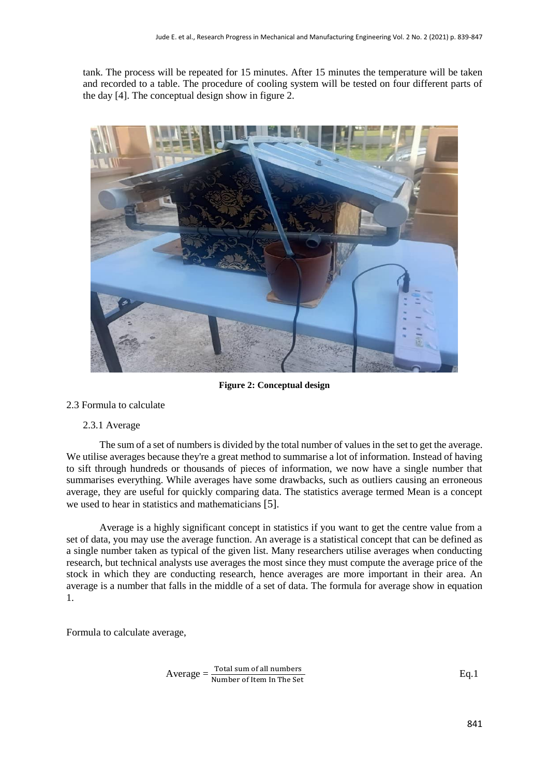tank. The process will be repeated for 15 minutes. After 15 minutes the temperature will be taken and recorded to a table. The procedure of cooling system will be tested on four different parts of the day [4]. The conceptual design show in figure 2.



**Figure 2: Conceptual design**

#### 2.3 Formula to calculate

#### 2.3.1 Average

The sum of a set of numbers is divided by the total number of values in the set to get the average. We utilise averages because they're a great method to summarise a lot of information. Instead of having to sift through hundreds or thousands of pieces of information, we now have a single number that summarises everything. While averages have some drawbacks, such as outliers causing an erroneous average, they are useful for quickly comparing data. The statistics average termed Mean is a concept we used to hear in statistics and mathematicians [5].

Average is a highly significant concept in statistics if you want to get the centre value from a set of data, you may use the average function. An average is a statistical concept that can be defined as a single number taken as typical of the given list. Many researchers utilise averages when conducting research, but technical analysts use averages the most since they must compute the average price of the stock in which they are conducting research, hence averages are more important in their area. An average is a number that falls in the middle of a set of data. The formula for average show in equation 1.

Formula to calculate average,

 $\text{Average} = \frac{\text{Total sum of all numbers}}{\text{Number of Item In The Set}}$ 

Eq.1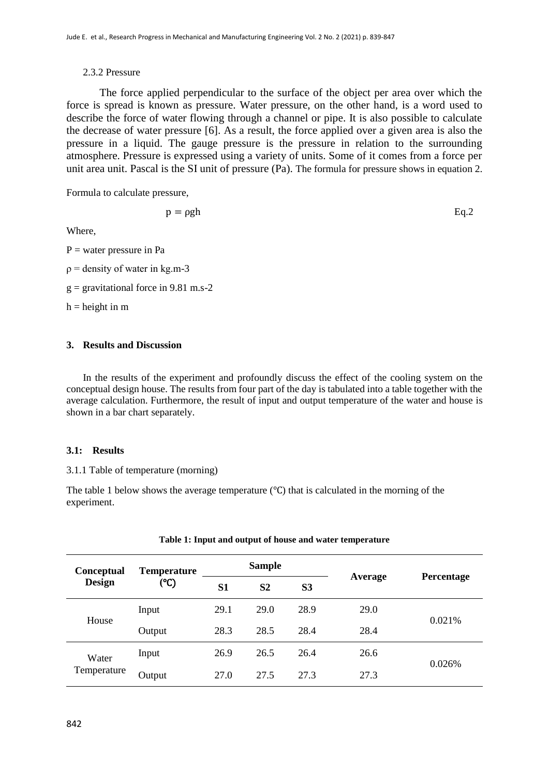## 2.3.2 Pressure

The force applied perpendicular to the surface of the object per area over which the force is spread is known as pressure. Water pressure, on the other hand, is a word used to describe the force of water flowing through a channel or pipe. It is also possible to calculate the decrease of water pressure [6]. As a result, the force applied over a given area is also the pressure in a liquid. The gauge pressure is the pressure in relation to the surrounding atmosphere. Pressure is expressed using a variety of units. Some of it comes from a force per unit area unit. Pascal is the SI unit of pressure (Pa). The formula for pressure shows in equation 2.

Formula to calculate pressure,

$$
p = \rho g h \qquad \qquad Eq.2
$$

Where,

 $P =$  water pressure in Pa

 $p =$  density of water in kg.m-3

 $g =$  gravitational force in 9.81 m.s-2

 $h = height in m$ 

## **3. Results and Discussion**

In the results of the experiment and profoundly discuss the effect of the cooling system on the conceptual design house. The results from four part of the day is tabulated into a table together with the average calculation. Furthermore, the result of input and output temperature of the water and house is shown in a bar chart separately.

## **3.1: Results**

3.1.1 Table of temperature (morning)

The table 1 below shows the average temperature (℃) that is calculated in the morning of the experiment.

| <b>Conceptual</b><br><b>Design</b> | <b>Temperature</b><br>(°C) | <b>Sample</b> |                |                |         |            |
|------------------------------------|----------------------------|---------------|----------------|----------------|---------|------------|
|                                    |                            | <b>S1</b>     | S <sub>2</sub> | S <sub>3</sub> | Average | Percentage |
| House                              | Input                      | 29.1          | 29.0           | 28.9           | 29.0    | 0.021%     |
|                                    | Output                     | 28.3          | 28.5           | 28.4           | 28.4    |            |
| Water<br>Temperature               | Input                      | 26.9          | 26.5           | 26.4           | 26.6    | 0.026%     |
|                                    | Output                     | 27.0          | 27.5           | 27.3           | 27.3    |            |

#### **Table 1: Input and output of house and water temperature**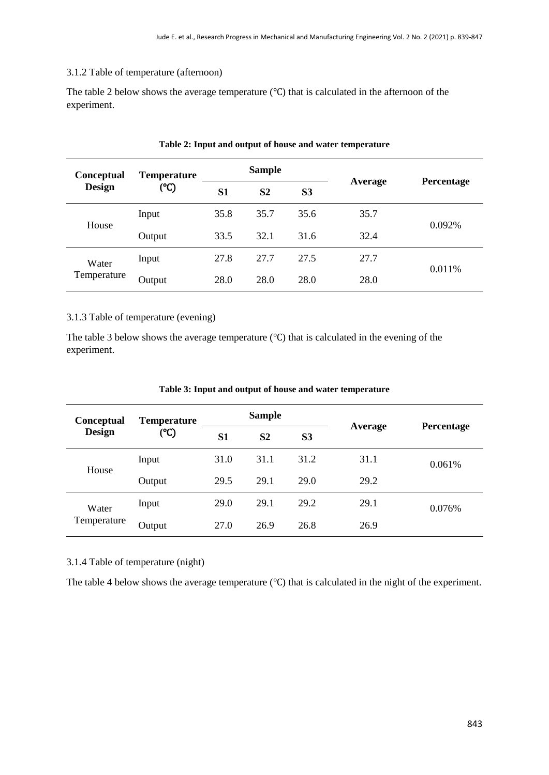#### 3.1.2 Table of temperature (afternoon)

The table 2 below shows the average temperature (℃) that is calculated in the afternoon of the experiment.

| <b>Conceptual</b><br><b>Design</b> | <b>Temperature</b><br>(°C) | <b>Sample</b>  |                |                |         |            |
|------------------------------------|----------------------------|----------------|----------------|----------------|---------|------------|
|                                    |                            | S <sub>1</sub> | S <sub>2</sub> | S <sub>3</sub> | Average | Percentage |
| House                              | Input                      | 35.8           | 35.7           | 35.6           | 35.7    | 0.092%     |
|                                    | Output                     | 33.5           | 32.1           | 31.6           | 32.4    |            |
| Water<br>Temperature               | Input                      | 27.8           | 27.7           | 27.5           | 27.7    | 0.011%     |
|                                    | Output                     | 28.0           | 28.0           | 28.0           | 28.0    |            |

#### **Table 2: Input and output of house and water temperature**

#### 3.1.3 Table of temperature (evening)

The table 3 below shows the average temperature (℃) that is calculated in the evening of the experiment.

| <b>Conceptual</b><br>Design | <b>Temperature</b><br>(°C) | <b>Sample</b>  |                |                |         |            |
|-----------------------------|----------------------------|----------------|----------------|----------------|---------|------------|
|                             |                            | S <sub>1</sub> | S <sub>2</sub> | S <sub>3</sub> | Average | Percentage |
| House                       | Input                      | 31.0           | 31.1           | 31.2           | 31.1    | 0.061%     |
|                             | Output                     | 29.5           | 29.1           | 29.0           | 29.2    |            |
| Water<br>Temperature        | Input                      | 29.0           | 29.1           | 29.2           | 29.1    | 0.076%     |
|                             | Output                     | 27.0           | 26.9           | 26.8           | 26.9    |            |

#### **Table 3: Input and output of house and water temperature**

# 3.1.4 Table of temperature (night)

The table 4 below shows the average temperature (℃) that is calculated in the night of the experiment.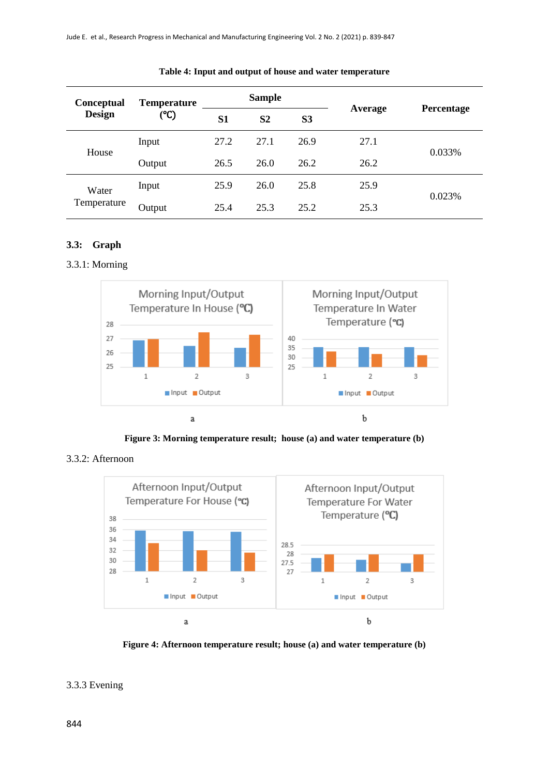| <b>Conceptual</b><br><b>Design</b> | <b>Temperature</b><br>(°C) | <b>Sample</b> |                |                |         |            |
|------------------------------------|----------------------------|---------------|----------------|----------------|---------|------------|
|                                    |                            | <b>S1</b>     | S <sub>2</sub> | S <sub>3</sub> | Average | Percentage |
| House                              | Input                      | 27.2          | 27.1           | 26.9           | 27.1    | 0.033%     |
|                                    | Output                     | 26.5          | 26.0           | 26.2           | 26.2    |            |
| Water<br>Temperature               | Input                      | 25.9          | 26.0           | 25.8           | 25.9    | 0.023%     |
|                                    | Output                     | 25.4          | 25.3           | 25.2           | 25.3    |            |

#### **Table 4: Input and output of house and water temperature**

## **3.3: Graph**

## 3.3.1: Morning



**Figure 3: Morning temperature result; house (a) and water temperature (b)**

# 3.3.2: Afternoon



**Figure 4: Afternoon temperature result; house (a) and water temperature (b)**

# 3.3.3 Evening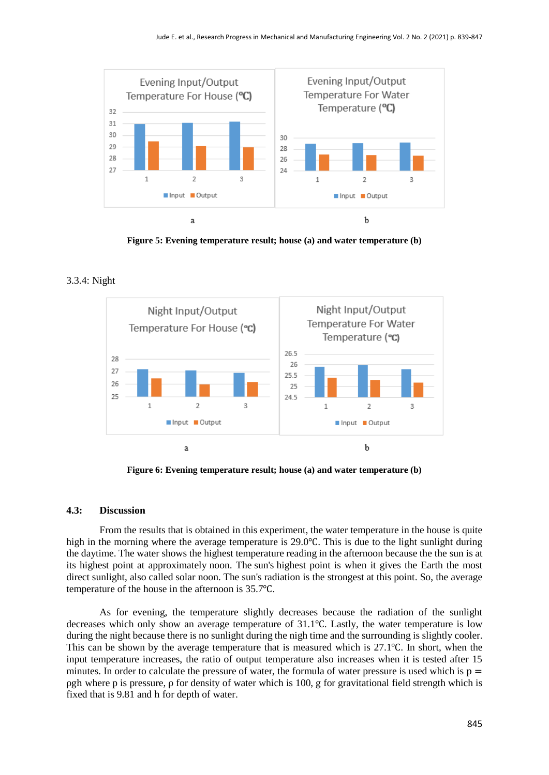

**Figure 5: Evening temperature result; house (a) and water temperature (b)**

# 3.3.4: Night



**Figure 6: Evening temperature result; house (a) and water temperature (b)**

## **4.3: Discussion**

From the results that is obtained in this experiment, the water temperature in the house is quite high in the morning where the average temperature is 29.0℃. This is due to the light sunlight during the daytime. The water shows the highest temperature reading in the afternoon because the the sun is at its highest point at approximately noon. The sun's highest point is when it gives the Earth the most direct sunlight, also called solar noon. The sun's radiation is the strongest at this point. So, the average temperature of the house in the afternoon is 35.7℃.

As for evening, the temperature slightly decreases because the radiation of the sunlight decreases which only show an average temperature of 31.1℃. Lastly, the water temperature is low during the night because there is no sunlight during the nigh time and the surrounding is slightly cooler. This can be shown by the average temperature that is measured which is 27.1℃. In short, when the input temperature increases, the ratio of output temperature also increases when it is tested after 15 minutes. In order to calculate the pressure of water, the formula of water pressure is used which is  $p =$ ρgh where p is pressure, ρ for density of water which is 100, g for gravitational field strength which is fixed that is 9.81 and h for depth of water.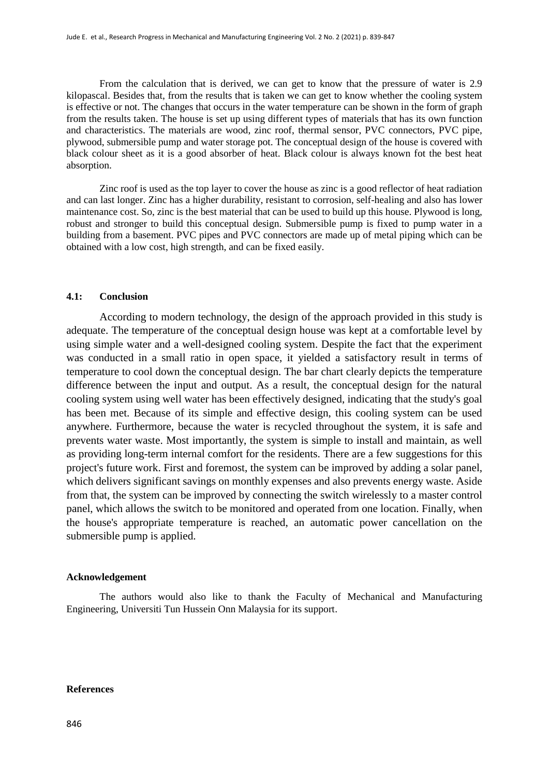From the calculation that is derived, we can get to know that the pressure of water is 2.9 kilopascal. Besides that, from the results that is taken we can get to know whether the cooling system is effective or not. The changes that occurs in the water temperature can be shown in the form of graph from the results taken. The house is set up using different types of materials that has its own function and characteristics. The materials are wood, zinc roof, thermal sensor, PVC connectors, PVC pipe, plywood, submersible pump and water storage pot. The conceptual design of the house is covered with black colour sheet as it is a good absorber of heat. Black colour is always known fot the best heat absorption.

Zinc roof is used as the top layer to cover the house as zinc is a good reflector of heat radiation and can last longer. Zinc has a higher durability, resistant to corrosion, self-healing and also has lower maintenance cost. So, zinc is the best material that can be used to build up this house. Plywood is long, robust and stronger to build this conceptual design. Submersible pump is fixed to pump water in a building from a basement. PVC pipes and PVC connectors are made up of metal piping which can be obtained with a low cost, high strength, and can be fixed easily.

#### **4.1: Conclusion**

According to modern technology, the design of the approach provided in this study is adequate. The temperature of the conceptual design house was kept at a comfortable level by using simple water and a well-designed cooling system. Despite the fact that the experiment was conducted in a small ratio in open space, it yielded a satisfactory result in terms of temperature to cool down the conceptual design. The bar chart clearly depicts the temperature difference between the input and output. As a result, the conceptual design for the natural cooling system using well water has been effectively designed, indicating that the study's goal has been met. Because of its simple and effective design, this cooling system can be used anywhere. Furthermore, because the water is recycled throughout the system, it is safe and prevents water waste. Most importantly, the system is simple to install and maintain, as well as providing long-term internal comfort for the residents. There are a few suggestions for this project's future work. First and foremost, the system can be improved by adding a solar panel, which delivers significant savings on monthly expenses and also prevents energy waste. Aside from that, the system can be improved by connecting the switch wirelessly to a master control panel, which allows the switch to be monitored and operated from one location. Finally, when the house's appropriate temperature is reached, an automatic power cancellation on the submersible pump is applied.

#### **Acknowledgement**

The authors would also like to thank the Faculty of Mechanical and Manufacturing Engineering, Universiti Tun Hussein Onn Malaysia for its support.

#### **References**